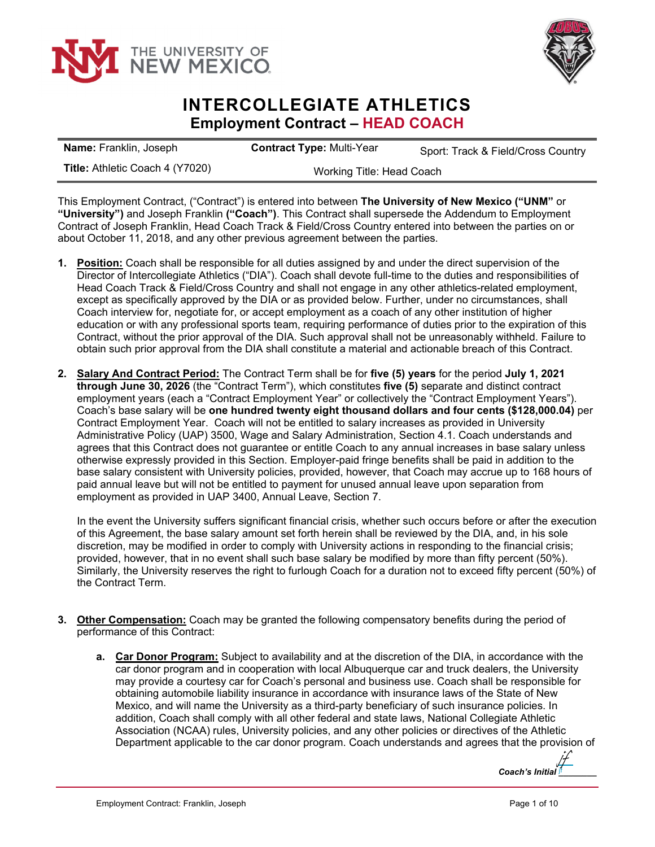



## **INTERCOLLEGIATE ATHLETICS Employment Contract – HEAD COACH**

| <b>Name:</b> Franklin, Joseph          | <b>Contract Type: Multi-Year</b> | Sport: Track & Field/Cross Country |
|----------------------------------------|----------------------------------|------------------------------------|
| <b>Title: Athletic Coach 4 (Y7020)</b> | Working Title: Head Coach        |                                    |

This Employment Contract, ("Contract") is entered into between **The University of New Mexico ("UNM"** or **"University")** and Joseph Franklin **("Coach")**. This Contract shall supersede the Addendum to Employment Contract of Joseph Franklin, Head Coach Track & Field/Cross Country entered into between the parties on or about October 11, 2018, and any other previous agreement between the parties.

- **1. Position:** Coach shall be responsible for all duties assigned by and under the direct supervision of the Director of Intercollegiate Athletics ("DIA"). Coach shall devote full-time to the duties and responsibilities of Head Coach Track & Field/Cross Country and shall not engage in any other athletics-related employment, except as specifically approved by the DIA or as provided below. Further, under no circumstances, shall Coach interview for, negotiate for, or accept employment as a coach of any other institution of higher education or with any professional sports team, requiring performance of duties prior to the expiration of this Contract, without the prior approval of the DIA. Such approval shall not be unreasonably withheld. Failure to obtain such prior approval from the DIA shall constitute a material and actionable breach of this Contract.
- **2. Salary And Contract Period:** The Contract Term shall be for **five (5) years** for the period **July 1, 2021 through June 30, 2026** (the "Contract Term"), which constitutes **five (5)** separate and distinct contract employment years (each a "Contract Employment Year" or collectively the "Contract Employment Years"). Coach's base salary will be **one hundred twenty eight thousand dollars and four cents (\$128,000.04)** per Contract Employment Year. Coach will not be entitled to salary increases as provided in University Administrative Policy (UAP) 3500, Wage and Salary Administration, Section 4.1. Coach understands and agrees that this Contract does not guarantee or entitle Coach to any annual increases in base salary unless otherwise expressly provided in this Section. Employer-paid fringe benefits shall be paid in addition to the base salary consistent with University policies, provided, however, that Coach may accrue up to 168 hours of paid annual leave but will not be entitled to payment for unused annual leave upon separation from employment as provided in UAP 3400, Annual Leave, Section 7.

In the event the University suffers significant financial crisis, whether such occurs before or after the execution of this Agreement, the base salary amount set forth herein shall be reviewed by the DIA, and, in his sole discretion, may be modified in order to comply with University actions in responding to the financial crisis; provided, however, that in no event shall such base salary be modified by more than fifty percent (50%). Similarly, the University reserves the right to furlough Coach for a duration not to exceed fifty percent (50%) of the Contract Term.

- **3. Other Compensation:** Coach may be granted the following compensatory benefits during the period of performance of this Contract:
	- **a. Car Donor Program:** Subject to availability and at the discretion of the DIA, in accordance with the car donor program and in cooperation with local Albuquerque car and truck dealers, the University may provide a courtesy car for Coach's personal and business use. Coach shall be responsible for obtaining automobile liability insurance in accordance with insurance laws of the State of New Mexico, and will name the University as a third-party beneficiary of such insurance policies. In addition, Coach shall comply with all other federal and state laws, National Collegiate Athletic Association (NCAA) rules, University policies, and any other policies or directives of the Athletic Department applicable to the car donor program. Coach understands and agrees that the provision of

*Coach's Initial [\\_\\_\\_\\_\\_\\_\\_\\_](https://secure.na2.echosign.com/verifier?tx=CBJCHBCAABAARaN69nCat8c7HBoDWEQIweKpNJFbQ2Hl)*  jf jf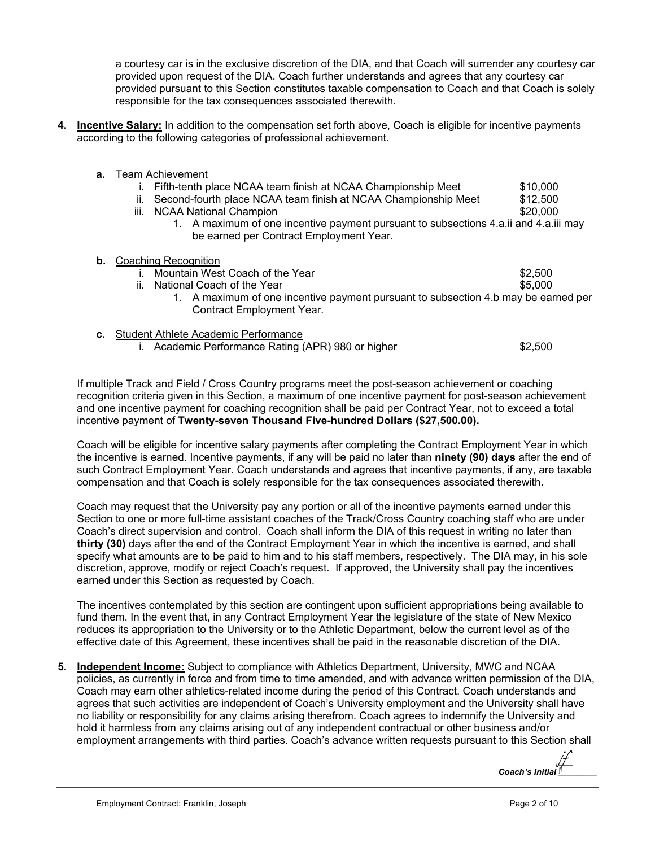a courtesy car is in the exclusive discretion of the DIA, and that Coach will surrender any courtesy car provided upon request of the DIA. Coach further understands and agrees that any courtesy car provided pursuant to this Section constitutes taxable compensation to Coach and that Coach is solely responsible for the tax consequences associated therewith.

**4. Incentive Salary:** In addition to the compensation set forth above, Coach is eligible for incentive payments according to the following categories of professional achievement.

| а. | <b>Team Achievement</b>                                                                                                         |          |  |
|----|---------------------------------------------------------------------------------------------------------------------------------|----------|--|
|    | Fifth-tenth place NCAA team finish at NCAA Championship Meet                                                                    | \$10,000 |  |
|    | Second-fourth place NCAA team finish at NCAA Championship Meet<br>ii.                                                           | \$12,500 |  |
|    | <b>NCAA National Champion</b><br>Ш.                                                                                             | \$20,000 |  |
|    | 1. A maximum of one incentive payment pursuant to subsections 4.a.ii and 4.a.iii may<br>be earned per Contract Employment Year. |          |  |
| b. | Coaching Recognition                                                                                                            |          |  |
|    | Mountain West Coach of the Year                                                                                                 | \$2,500  |  |
|    | ii.<br>National Coach of the Year                                                                                               | \$5,000  |  |
|    | 1. A maximum of one incentive payment pursuant to subsection 4.b may be earned per                                              |          |  |
|    | <b>Contract Employment Year.</b>                                                                                                |          |  |
| C. | Student Athlete Academic Performance                                                                                            |          |  |

i. Academic Performance Rating (APR) 980 or higher  $$2,500$ 

If multiple Track and Field / Cross Country programs meet the post-season achievement or coaching recognition criteria given in this Section, a maximum of one incentive payment for post-season achievement and one incentive payment for coaching recognition shall be paid per Contract Year, not to exceed a total incentive payment of **Twenty-seven Thousand Five-hundred Dollars (\$27,500.00).** 

Coach will be eligible for incentive salary payments after completing the Contract Employment Year in which the incentive is earned. Incentive payments, if any will be paid no later than **ninety (90) days** after the end of such Contract Employment Year. Coach understands and agrees that incentive payments, if any, are taxable compensation and that Coach is solely responsible for the tax consequences associated therewith.

Coach may request that the University pay any portion or all of the incentive payments earned under this Section to one or more full-time assistant coaches of the Track/Cross Country coaching staff who are under Coach's direct supervision and control. Coach shall inform the DIA of this request in writing no later than **thirty (30)** days after the end of the Contract Employment Year in which the incentive is earned, and shall specify what amounts are to be paid to him and to his staff members, respectively. The DIA may, in his sole discretion, approve, modify or reject Coach's request. If approved, the University shall pay the incentives earned under this Section as requested by Coach.

The incentives contemplated by this section are contingent upon sufficient appropriations being available to fund them. In the event that, in any Contract Employment Year the legislature of the state of New Mexico reduces its appropriation to the University or to the Athletic Department, below the current level as of the effective date of this Agreement, these incentives shall be paid in the reasonable discretion of the DIA.

**5. Independent Income:** Subject to compliance with Athletics Department, University, MWC and NCAA policies, as currently in force and from time to time amended, and with advance written permission of the DIA, Coach may earn other athletics-related income during the period of this Contract. Coach understands and agrees that such activities are independent of Coach's University employment and the University shall have no liability or responsibility for any claims arising therefrom. Coach agrees to indemnify the University and hold it harmless from any claims arising out of any independent contractual or other business and/or employment arrangements with third parties. Coach's advance written requests pursuant to this Section shall

*Coach's Initial [\\_\\_\\_\\_\\_\\_\\_\\_](https://secure.na2.echosign.com/verifier?tx=CBJCHBCAABAARaN69nCat8c7HBoDWEQIweKpNJFbQ2Hl)*  jf jf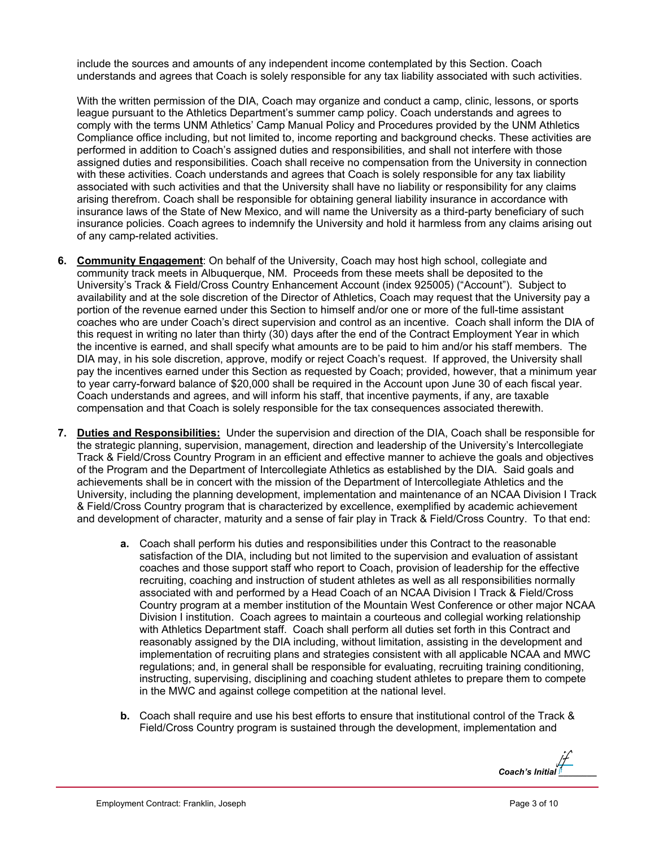include the sources and amounts of any independent income contemplated by this Section. Coach understands and agrees that Coach is solely responsible for any tax liability associated with such activities.

With the written permission of the DIA, Coach may organize and conduct a camp, clinic, lessons, or sports league pursuant to the Athletics Department's summer camp policy. Coach understands and agrees to comply with the terms UNM Athletics' Camp Manual Policy and Procedures provided by the UNM Athletics Compliance office including, but not limited to, income reporting and background checks. These activities are performed in addition to Coach's assigned duties and responsibilities, and shall not interfere with those assigned duties and responsibilities. Coach shall receive no compensation from the University in connection with these activities. Coach understands and agrees that Coach is solely responsible for any tax liability associated with such activities and that the University shall have no liability or responsibility for any claims arising therefrom. Coach shall be responsible for obtaining general liability insurance in accordance with insurance laws of the State of New Mexico, and will name the University as a third-party beneficiary of such insurance policies. Coach agrees to indemnify the University and hold it harmless from any claims arising out of any camp-related activities.

- **6. Community Engagement**: On behalf of the University, Coach may host high school, collegiate and community track meets in Albuquerque, NM. Proceeds from these meets shall be deposited to the University's Track & Field/Cross Country Enhancement Account (index 925005) ("Account"). Subject to availability and at the sole discretion of the Director of Athletics, Coach may request that the University pay a portion of the revenue earned under this Section to himself and/or one or more of the full-time assistant coaches who are under Coach's direct supervision and control as an incentive. Coach shall inform the DIA of this request in writing no later than thirty (30) days after the end of the Contract Employment Year in which the incentive is earned, and shall specify what amounts are to be paid to him and/or his staff members. The DIA may, in his sole discretion, approve, modify or reject Coach's request. If approved, the University shall pay the incentives earned under this Section as requested by Coach; provided, however, that a minimum year to year carry-forward balance of \$20,000 shall be required in the Account upon June 30 of each fiscal year. Coach understands and agrees, and will inform his staff, that incentive payments, if any, are taxable compensation and that Coach is solely responsible for the tax consequences associated therewith.
- **7. Duties and Responsibilities:** Under the supervision and direction of the DIA, Coach shall be responsible for the strategic planning, supervision, management, direction and leadership of the University's Intercollegiate Track & Field/Cross Country Program in an efficient and effective manner to achieve the goals and objectives of the Program and the Department of Intercollegiate Athletics as established by the DIA. Said goals and achievements shall be in concert with the mission of the Department of Intercollegiate Athletics and the University, including the planning development, implementation and maintenance of an NCAA Division I Track & Field/Cross Country program that is characterized by excellence, exemplified by academic achievement and development of character, maturity and a sense of fair play in Track & Field/Cross Country. To that end:
	- **a.** Coach shall perform his duties and responsibilities under this Contract to the reasonable satisfaction of the DIA, including but not limited to the supervision and evaluation of assistant coaches and those support staff who report to Coach, provision of leadership for the effective recruiting, coaching and instruction of student athletes as well as all responsibilities normally associated with and performed by a Head Coach of an NCAA Division I Track & Field/Cross Country program at a member institution of the Mountain West Conference or other major NCAA Division I institution. Coach agrees to maintain a courteous and collegial working relationship with Athletics Department staff. Coach shall perform all duties set forth in this Contract and reasonably assigned by the DIA including, without limitation, assisting in the development and implementation of recruiting plans and strategies consistent with all applicable NCAA and MWC regulations; and, in general shall be responsible for evaluating, recruiting training conditioning, instructing, supervising, disciplining and coaching student athletes to prepare them to compete in the MWC and against college competition at the national level.
	- **b.** Coach shall require and use his best efforts to ensure that institutional control of the Track & Field/Cross Country program is sustained through the development, implementation and

*Coach's Initial [\\_\\_\\_\\_\\_\\_\\_\\_](https://secure.na2.echosign.com/verifier?tx=CBJCHBCAABAARaN69nCat8c7HBoDWEQIweKpNJFbQ2Hl)*  jf jf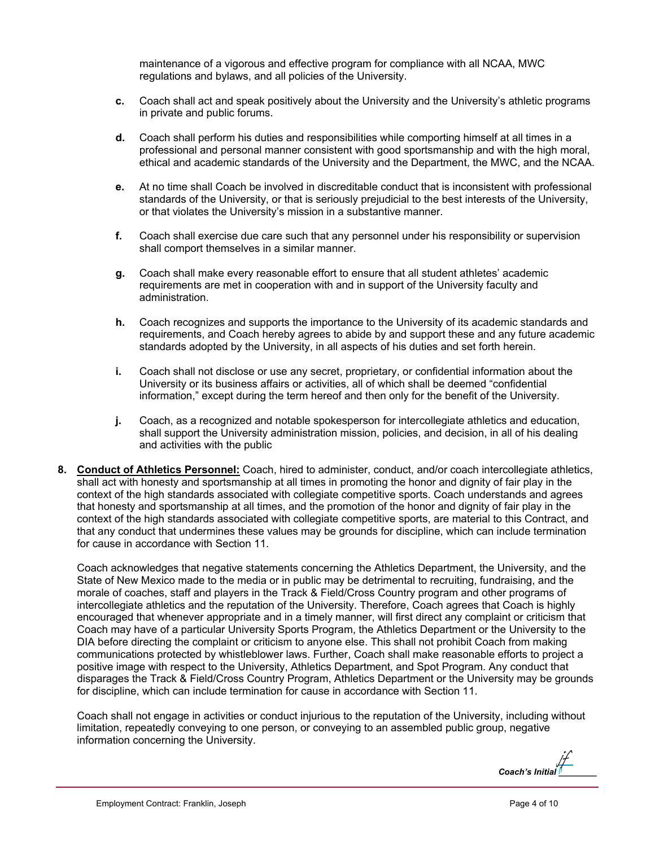maintenance of a vigorous and effective program for compliance with all NCAA, MWC regulations and bylaws, and all policies of the University.

- **c.** Coach shall act and speak positively about the University and the University's athletic programs in private and public forums.
- **d.** Coach shall perform his duties and responsibilities while comporting himself at all times in a professional and personal manner consistent with good sportsmanship and with the high moral, ethical and academic standards of the University and the Department, the MWC, and the NCAA.
- **e.** At no time shall Coach be involved in discreditable conduct that is inconsistent with professional standards of the University, or that is seriously prejudicial to the best interests of the University, or that violates the University's mission in a substantive manner.
- **f.** Coach shall exercise due care such that any personnel under his responsibility or supervision shall comport themselves in a similar manner.
- **g.** Coach shall make every reasonable effort to ensure that all student athletes' academic requirements are met in cooperation with and in support of the University faculty and administration.
- **h.** Coach recognizes and supports the importance to the University of its academic standards and requirements, and Coach hereby agrees to abide by and support these and any future academic standards adopted by the University, in all aspects of his duties and set forth herein.
- **i.** Coach shall not disclose or use any secret, proprietary, or confidential information about the University or its business affairs or activities, all of which shall be deemed "confidential information," except during the term hereof and then only for the benefit of the University.
- **j.** Coach, as a recognized and notable spokesperson for intercollegiate athletics and education, shall support the University administration mission, policies, and decision, in all of his dealing and activities with the public
- **8. Conduct of Athletics Personnel:** Coach, hired to administer, conduct, and/or coach intercollegiate athletics, shall act with honesty and sportsmanship at all times in promoting the honor and dignity of fair play in the context of the high standards associated with collegiate competitive sports. Coach understands and agrees that honesty and sportsmanship at all times, and the promotion of the honor and dignity of fair play in the context of the high standards associated with collegiate competitive sports, are material to this Contract, and that any conduct that undermines these values may be grounds for discipline, which can include termination for cause in accordance with Section 11.

Coach acknowledges that negative statements concerning the Athletics Department, the University, and the State of New Mexico made to the media or in public may be detrimental to recruiting, fundraising, and the morale of coaches, staff and players in the Track & Field/Cross Country program and other programs of intercollegiate athletics and the reputation of the University. Therefore, Coach agrees that Coach is highly encouraged that whenever appropriate and in a timely manner, will first direct any complaint or criticism that Coach may have of a particular University Sports Program, the Athletics Department or the University to the DIA before directing the complaint or criticism to anyone else. This shall not prohibit Coach from making communications protected by whistleblower laws. Further, Coach shall make reasonable efforts to project a positive image with respect to the University, Athletics Department, and Spot Program. Any conduct that disparages the Track & Field/Cross Country Program, Athletics Department or the University may be grounds for discipline, which can include termination for cause in accordance with Section 11.

Coach shall not engage in activities or conduct injurious to the reputation of the University, including without limitation, repeatedly conveying to one person, or conveying to an assembled public group, negative information concerning the University.

*Coach's Initial [\\_\\_\\_\\_\\_\\_\\_\\_](https://secure.na2.echosign.com/verifier?tx=CBJCHBCAABAARaN69nCat8c7HBoDWEQIweKpNJFbQ2Hl)*  jf jf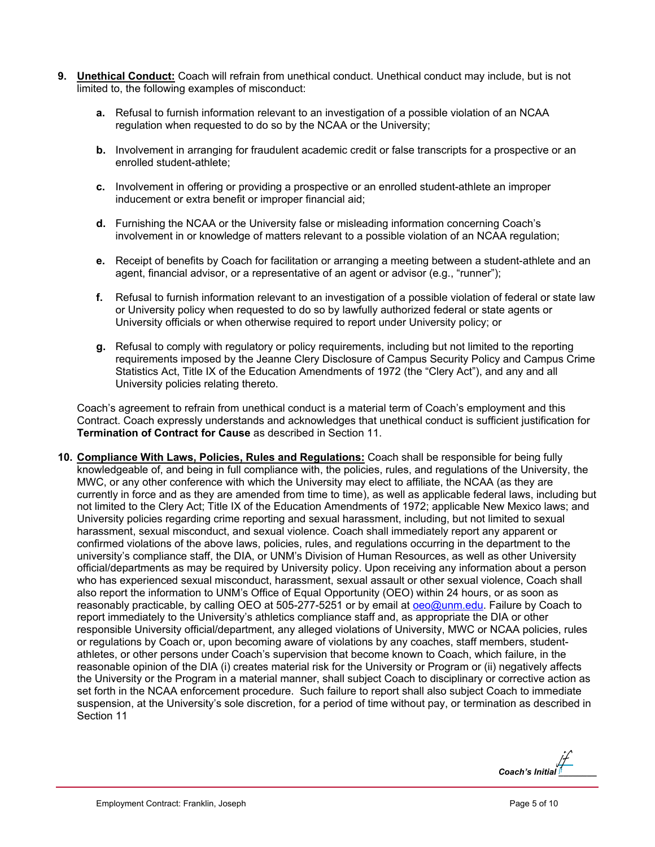- **9. Unethical Conduct:** Coach will refrain from unethical conduct. Unethical conduct may include, but is not limited to, the following examples of misconduct:
	- **a.** Refusal to furnish information relevant to an investigation of a possible violation of an NCAA regulation when requested to do so by the NCAA or the University;
	- **b.** Involvement in arranging for fraudulent academic credit or false transcripts for a prospective or an enrolled student-athlete;
	- **c.** Involvement in offering or providing a prospective or an enrolled student-athlete an improper inducement or extra benefit or improper financial aid;
	- **d.** Furnishing the NCAA or the University false or misleading information concerning Coach's involvement in or knowledge of matters relevant to a possible violation of an NCAA regulation;
	- **e.** Receipt of benefits by Coach for facilitation or arranging a meeting between a student-athlete and an agent, financial advisor, or a representative of an agent or advisor (e.g., "runner");
	- **f.** Refusal to furnish information relevant to an investigation of a possible violation of federal or state law or University policy when requested to do so by lawfully authorized federal or state agents or University officials or when otherwise required to report under University policy; or
	- **g.** Refusal to comply with regulatory or policy requirements, including but not limited to the reporting requirements imposed by the Jeanne Clery Disclosure of Campus Security Policy and Campus Crime Statistics Act, Title IX of the Education Amendments of 1972 (the "Clery Act"), and any and all University policies relating thereto.

Coach's agreement to refrain from unethical conduct is a material term of Coach's employment and this Contract. Coach expressly understands and acknowledges that unethical conduct is sufficient justification for **Termination of Contract for Cause** as described in Section 11.

**10. Compliance With Laws, Policies, Rules and Regulations:** Coach shall be responsible for being fully knowledgeable of, and being in full compliance with, the policies, rules, and regulations of the University, the MWC, or any other conference with which the University may elect to affiliate, the NCAA (as they are currently in force and as they are amended from time to time), as well as applicable federal laws, including but not limited to the Clery Act; Title IX of the Education Amendments of 1972; applicable New Mexico laws; and University policies regarding crime reporting and sexual harassment, including, but not limited to sexual harassment, sexual misconduct, and sexual violence. Coach shall immediately report any apparent or confirmed violations of the above laws, policies, rules, and regulations occurring in the department to the university's compliance staff, the DIA, or UNM's Division of Human Resources, as well as other University official/departments as may be required by University policy. Upon receiving any information about a person who has experienced sexual misconduct, harassment, sexual assault or other sexual violence, Coach shall also report the information to UNM's Office of Equal Opportunity (OEO) within 24 hours, or as soon as reasonably practicable, by calling OEO at 505-277-5251 or by email at oeo@unm.edu. Failure by Coach to report immediately to the University's athletics compliance staff and, as appropriate the DIA or other responsible University official/department, any alleged violations of University, MWC or NCAA policies, rules or regulations by Coach or, upon becoming aware of violations by any coaches, staff members, studentathletes, or other persons under Coach's supervision that become known to Coach, which failure, in the reasonable opinion of the DIA (i) creates material risk for the University or Program or (ii) negatively affects the University or the Program in a material manner, shall subject Coach to disciplinary or corrective action as set forth in the NCAA enforcement procedure. Such failure to report shall also subject Coach to immediate suspension, at the University's sole discretion, for a period of time without pay, or termination as described in Section 11

*Coach's Initial [\\_\\_\\_\\_\\_\\_\\_\\_](https://secure.na2.echosign.com/verifier?tx=CBJCHBCAABAARaN69nCat8c7HBoDWEQIweKpNJFbQ2Hl)*  jf jf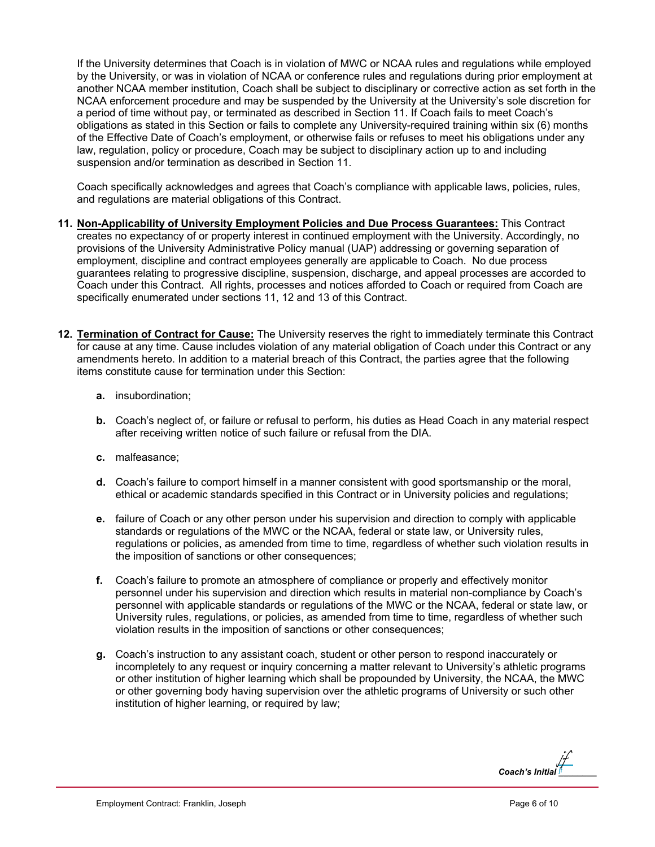If the University determines that Coach is in violation of MWC or NCAA rules and regulations while employed by the University, or was in violation of NCAA or conference rules and regulations during prior employment at another NCAA member institution, Coach shall be subject to disciplinary or corrective action as set forth in the NCAA enforcement procedure and may be suspended by the University at the University's sole discretion for a period of time without pay, or terminated as described in Section 11. If Coach fails to meet Coach's obligations as stated in this Section or fails to complete any University-required training within six (6) months of the Effective Date of Coach's employment, or otherwise fails or refuses to meet his obligations under any law, regulation, policy or procedure, Coach may be subject to disciplinary action up to and including suspension and/or termination as described in Section 11.

Coach specifically acknowledges and agrees that Coach's compliance with applicable laws, policies, rules, and regulations are material obligations of this Contract.

- **11. Non-Applicability of University Employment Policies and Due Process Guarantees:** This Contract creates no expectancy of or property interest in continued employment with the University. Accordingly, no provisions of the University Administrative Policy manual (UAP) addressing or governing separation of employment, discipline and contract employees generally are applicable to Coach. No due process guarantees relating to progressive discipline, suspension, discharge, and appeal processes are accorded to Coach under this Contract. All rights, processes and notices afforded to Coach or required from Coach are specifically enumerated under sections 11, 12 and 13 of this Contract.
- **12. Termination of Contract for Cause:** The University reserves the right to immediately terminate this Contract for cause at any time. Cause includes violation of any material obligation of Coach under this Contract or any amendments hereto. In addition to a material breach of this Contract, the parties agree that the following items constitute cause for termination under this Section:
	- **a.** insubordination;
	- **b.** Coach's neglect of, or failure or refusal to perform, his duties as Head Coach in any material respect after receiving written notice of such failure or refusal from the DIA.
	- **c.** malfeasance;
	- **d.** Coach's failure to comport himself in a manner consistent with good sportsmanship or the moral, ethical or academic standards specified in this Contract or in University policies and regulations;
	- **e.** failure of Coach or any other person under his supervision and direction to comply with applicable standards or regulations of the MWC or the NCAA, federal or state law, or University rules, regulations or policies, as amended from time to time, regardless of whether such violation results in the imposition of sanctions or other consequences;
	- **f.** Coach's failure to promote an atmosphere of compliance or properly and effectively monitor personnel under his supervision and direction which results in material non-compliance by Coach's personnel with applicable standards or regulations of the MWC or the NCAA, federal or state law, or University rules, regulations, or policies, as amended from time to time, regardless of whether such violation results in the imposition of sanctions or other consequences;
	- **g.** Coach's instruction to any assistant coach, student or other person to respond inaccurately or incompletely to any request or inquiry concerning a matter relevant to University's athletic programs or other institution of higher learning which shall be propounded by University, the NCAA, the MWC or other governing body having supervision over the athletic programs of University or such other institution of higher learning, or required by law;

*Coach's Initial [\\_\\_\\_\\_\\_\\_\\_\\_](https://secure.na2.echosign.com/verifier?tx=CBJCHBCAABAARaN69nCat8c7HBoDWEQIweKpNJFbQ2Hl)*  jf jf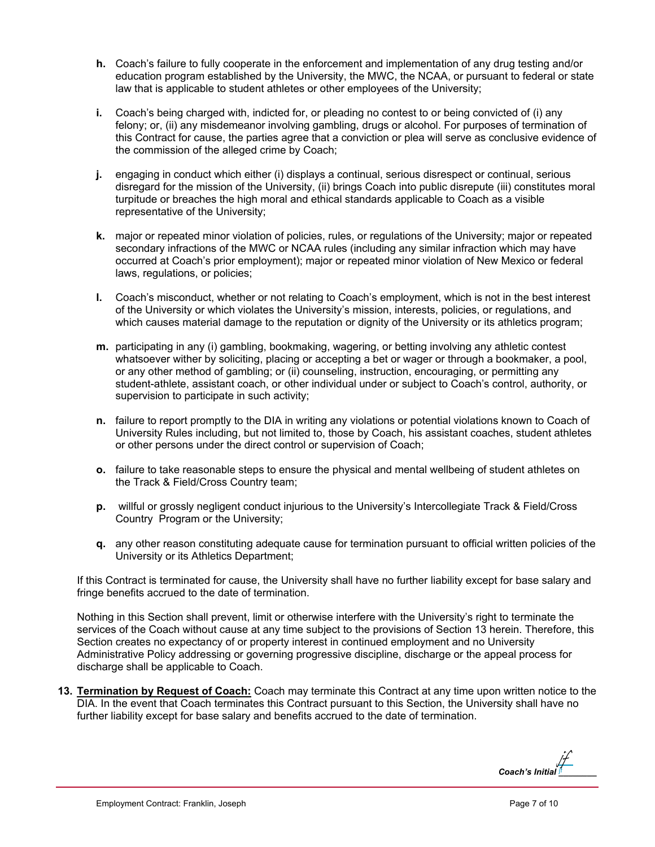- **h.** Coach's failure to fully cooperate in the enforcement and implementation of any drug testing and/or education program established by the University, the MWC, the NCAA, or pursuant to federal or state law that is applicable to student athletes or other employees of the University;
- **i.** Coach's being charged with, indicted for, or pleading no contest to or being convicted of (i) any felony; or, (ii) any misdemeanor involving gambling, drugs or alcohol. For purposes of termination of this Contract for cause, the parties agree that a conviction or plea will serve as conclusive evidence of the commission of the alleged crime by Coach;
- **j.** engaging in conduct which either (i) displays a continual, serious disrespect or continual, serious disregard for the mission of the University, (ii) brings Coach into public disrepute (iii) constitutes moral turpitude or breaches the high moral and ethical standards applicable to Coach as a visible representative of the University;
- **k.** major or repeated minor violation of policies, rules, or regulations of the University; major or repeated secondary infractions of the MWC or NCAA rules (including any similar infraction which may have occurred at Coach's prior employment); major or repeated minor violation of New Mexico or federal laws, regulations, or policies;
- **l.** Coach's misconduct, whether or not relating to Coach's employment, which is not in the best interest of the University or which violates the University's mission, interests, policies, or regulations, and which causes material damage to the reputation or dignity of the University or its athletics program;
- **m.** participating in any (i) gambling, bookmaking, wagering, or betting involving any athletic contest whatsoever wither by soliciting, placing or accepting a bet or wager or through a bookmaker, a pool, or any other method of gambling; or (ii) counseling, instruction, encouraging, or permitting any student-athlete, assistant coach, or other individual under or subject to Coach's control, authority, or supervision to participate in such activity;
- **n.** failure to report promptly to the DIA in writing any violations or potential violations known to Coach of University Rules including, but not limited to, those by Coach, his assistant coaches, student athletes or other persons under the direct control or supervision of Coach;
- **o.** failure to take reasonable steps to ensure the physical and mental wellbeing of student athletes on the Track & Field/Cross Country team;
- **p.** willful or grossly negligent conduct injurious to the University's Intercollegiate Track & Field/Cross Country Program or the University;
- **q.** any other reason constituting adequate cause for termination pursuant to official written policies of the University or its Athletics Department;

If this Contract is terminated for cause, the University shall have no further liability except for base salary and fringe benefits accrued to the date of termination.

Nothing in this Section shall prevent, limit or otherwise interfere with the University's right to terminate the services of the Coach without cause at any time subject to the provisions of Section 13 herein. Therefore, this Section creates no expectancy of or property interest in continued employment and no University Administrative Policy addressing or governing progressive discipline, discharge or the appeal process for discharge shall be applicable to Coach.

**13. Termination by Request of Coach:** Coach may terminate this Contract at any time upon written notice to the DIA. In the event that Coach terminates this Contract pursuant to this Section, the University shall have no further liability except for base salary and benefits accrued to the date of termination.

*Coach's Initial [\\_\\_\\_\\_\\_\\_\\_\\_](https://secure.na2.echosign.com/verifier?tx=CBJCHBCAABAARaN69nCat8c7HBoDWEQIweKpNJFbQ2Hl)*  jf jf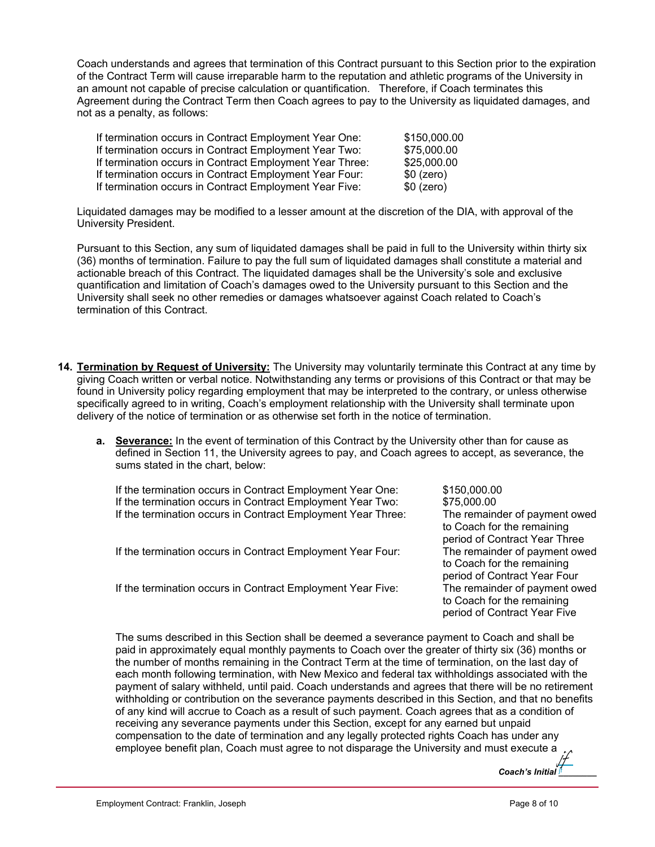Coach understands and agrees that termination of this Contract pursuant to this Section prior to the expiration of the Contract Term will cause irreparable harm to the reputation and athletic programs of the University in an amount not capable of precise calculation or quantification. Therefore, if Coach terminates this Agreement during the Contract Term then Coach agrees to pay to the University as liquidated damages, and not as a penalty, as follows:

| If termination occurs in Contract Employment Year One:   | \$150,000.00 |
|----------------------------------------------------------|--------------|
| If termination occurs in Contract Employment Year Two:   | \$75,000.00  |
| If termination occurs in Contract Employment Year Three: | \$25,000.00  |
| If termination occurs in Contract Employment Year Four:  | $$0$ (zero)  |
| If termination occurs in Contract Employment Year Five:  | $$0$ (zero)  |

Liquidated damages may be modified to a lesser amount at the discretion of the DIA, with approval of the University President.

Pursuant to this Section, any sum of liquidated damages shall be paid in full to the University within thirty six (36) months of termination. Failure to pay the full sum of liquidated damages shall constitute a material and actionable breach of this Contract. The liquidated damages shall be the University's sole and exclusive quantification and limitation of Coach's damages owed to the University pursuant to this Section and the University shall seek no other remedies or damages whatsoever against Coach related to Coach's termination of this Contract.

- **14. Termination by Request of University:** The University may voluntarily terminate this Contract at any time by giving Coach written or verbal notice. Notwithstanding any terms or provisions of this Contract or that may be found in University policy regarding employment that may be interpreted to the contrary, or unless otherwise specifically agreed to in writing, Coach's employment relationship with the University shall terminate upon delivery of the notice of termination or as otherwise set forth in the notice of termination.
	- **a. Severance:** In the event of termination of this Contract by the University other than for cause as defined in Section 11, the University agrees to pay, and Coach agrees to accept, as severance, the sums stated in the chart, below:

If the termination occurs in Contract Employment Year One: \$150,000.00 If the termination occurs in Contract Employment Year Two: \$75,000.00 If the termination occurs in Contract Employment Year Three: The remainder of payment owed

If the termination occurs in Contract Employment Year Four: The remainder of payment owed

If the termination occurs in Contract Employment Year Five:

to Coach for the remaining period of Contract Year Three to Coach for the remaining period of Contract Year Four to Coach for the remaining period of Contract Year Five

The sums described in this Section shall be deemed a severance payment to Coach and shall be paid in approximately equal monthly payments to Coach over the greater of thirty six (36) months or the number of months remaining in the Contract Term at the time of termination, on the last day of each month following termination, with New Mexico and federal tax withholdings associated with the payment of salary withheld, until paid. Coach understands and agrees that there will be no retirement withholding or contribution on the severance payments described in this Section, and that no benefits of any kind will accrue to Coach as a result of such payment. Coach agrees that as a condition of receiving any severance payments under this Section, except for any earned but unpaid compensation to the date of termination and any legally protected rights Coach has under any employee benefit plan, Coach must agree to not disparage the University and must execute a jf

*Coach's Initial [\\_\\_\\_\\_\\_\\_\\_\\_](https://secure.na2.echosign.com/verifier?tx=CBJCHBCAABAARaN69nCat8c7HBoDWEQIweKpNJFbQ2Hl)* 

jf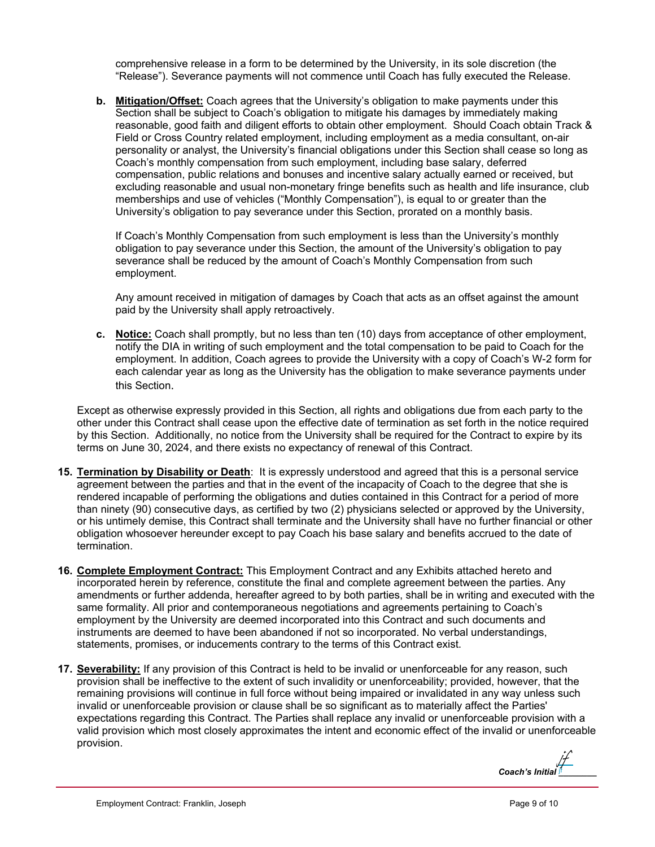comprehensive release in a form to be determined by the University, in its sole discretion (the "Release"). Severance payments will not commence until Coach has fully executed the Release.

**b. Mitigation/Offset:** Coach agrees that the University's obligation to make payments under this Section shall be subject to Coach's obligation to mitigate his damages by immediately making reasonable, good faith and diligent efforts to obtain other employment. Should Coach obtain Track & Field or Cross Country related employment, including employment as a media consultant, on-air personality or analyst, the University's financial obligations under this Section shall cease so long as Coach's monthly compensation from such employment, including base salary, deferred compensation, public relations and bonuses and incentive salary actually earned or received, but excluding reasonable and usual non-monetary fringe benefits such as health and life insurance, club memberships and use of vehicles ("Monthly Compensation"), is equal to or greater than the University's obligation to pay severance under this Section, prorated on a monthly basis.

If Coach's Monthly Compensation from such employment is less than the University's monthly obligation to pay severance under this Section, the amount of the University's obligation to pay severance shall be reduced by the amount of Coach's Monthly Compensation from such employment.

Any amount received in mitigation of damages by Coach that acts as an offset against the amount paid by the University shall apply retroactively.

**c. Notice:** Coach shall promptly, but no less than ten (10) days from acceptance of other employment, notify the DIA in writing of such employment and the total compensation to be paid to Coach for the employment. In addition, Coach agrees to provide the University with a copy of Coach's W-2 form for each calendar year as long as the University has the obligation to make severance payments under this Section.

Except as otherwise expressly provided in this Section, all rights and obligations due from each party to the other under this Contract shall cease upon the effective date of termination as set forth in the notice required by this Section. Additionally, no notice from the University shall be required for the Contract to expire by its terms on June 30, 2024, and there exists no expectancy of renewal of this Contract.

- **15. Termination by Disability or Death**: It is expressly understood and agreed that this is a personal service agreement between the parties and that in the event of the incapacity of Coach to the degree that she is rendered incapable of performing the obligations and duties contained in this Contract for a period of more than ninety (90) consecutive days, as certified by two (2) physicians selected or approved by the University, or his untimely demise, this Contract shall terminate and the University shall have no further financial or other obligation whosoever hereunder except to pay Coach his base salary and benefits accrued to the date of termination.
- **16. Complete Employment Contract:** This Employment Contract and any Exhibits attached hereto and incorporated herein by reference, constitute the final and complete agreement between the parties. Any amendments or further addenda, hereafter agreed to by both parties, shall be in writing and executed with the same formality. All prior and contemporaneous negotiations and agreements pertaining to Coach's employment by the University are deemed incorporated into this Contract and such documents and instruments are deemed to have been abandoned if not so incorporated. No verbal understandings, statements, promises, or inducements contrary to the terms of this Contract exist.
- **17. Severability:** If any provision of this Contract is held to be invalid or unenforceable for any reason, such provision shall be ineffective to the extent of such invalidity or unenforceability; provided, however, that the remaining provisions will continue in full force without being impaired or invalidated in any way unless such invalid or unenforceable provision or clause shall be so significant as to materially affect the Parties' expectations regarding this Contract. The Parties shall replace any invalid or unenforceable provision with a valid provision which most closely approximates the intent and economic effect of the invalid or unenforceable provision.

*Coach's Initial [\\_\\_\\_\\_\\_\\_\\_\\_](https://secure.na2.echosign.com/verifier?tx=CBJCHBCAABAARaN69nCat8c7HBoDWEQIweKpNJFbQ2Hl)*  jf jf